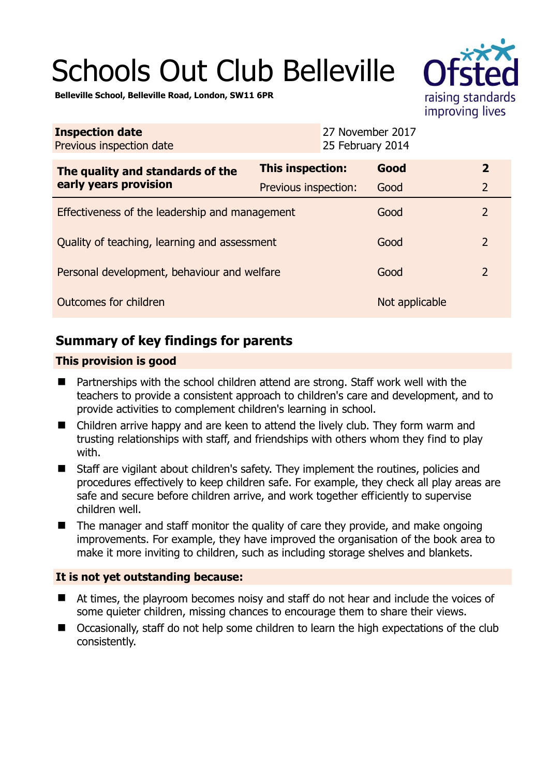# Schools Out Club Belleville



**Belleville School, Belleville Road, London, SW11 6PR** 

| <b>Inspection date</b><br>Previous inspection date        | 27 November 2017<br>25 February 2014 |                |                |
|-----------------------------------------------------------|--------------------------------------|----------------|----------------|
| The quality and standards of the<br>early years provision | <b>This inspection:</b>              | Good           | $\overline{2}$ |
|                                                           | Previous inspection:                 | Good           | $\overline{2}$ |
| Effectiveness of the leadership and management            |                                      | Good           | $\overline{2}$ |
| Quality of teaching, learning and assessment              |                                      | Good           | $\overline{2}$ |
| Personal development, behaviour and welfare               |                                      | Good           | $\overline{2}$ |
| Outcomes for children                                     |                                      | Not applicable |                |

## **Summary of key findings for parents**

### **This provision is good**

- Partnerships with the school children attend are strong. Staff work well with the teachers to provide a consistent approach to children's care and development, and to provide activities to complement children's learning in school.
- Children arrive happy and are keen to attend the lively club. They form warm and trusting relationships with staff, and friendships with others whom they find to play with.
- Staff are vigilant about children's safety. They implement the routines, policies and procedures effectively to keep children safe. For example, they check all play areas are safe and secure before children arrive, and work together efficiently to supervise children well.
- $\blacksquare$  The manager and staff monitor the quality of care they provide, and make ongoing improvements. For example, they have improved the organisation of the book area to make it more inviting to children, such as including storage shelves and blankets.

#### **It is not yet outstanding because:**

- At times, the playroom becomes noisy and staff do not hear and include the voices of some quieter children, missing chances to encourage them to share their views.
- Occasionally, staff do not help some children to learn the high expectations of the club consistently.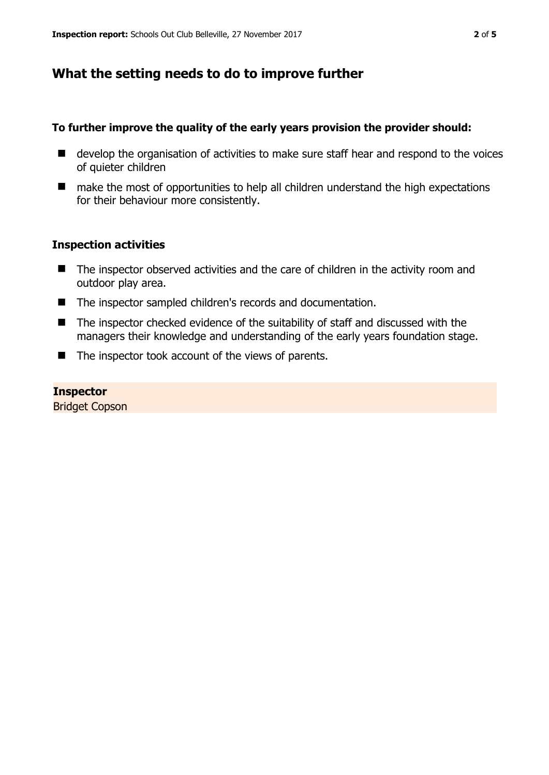## **What the setting needs to do to improve further**

#### **To further improve the quality of the early years provision the provider should:**

- develop the organisation of activities to make sure staff hear and respond to the voices of quieter children
- make the most of opportunities to help all children understand the high expectations for their behaviour more consistently.

#### **Inspection activities**

- The inspector observed activities and the care of children in the activity room and outdoor play area.
- The inspector sampled children's records and documentation.
- The inspector checked evidence of the suitability of staff and discussed with the managers their knowledge and understanding of the early years foundation stage.
- The inspector took account of the views of parents.

#### **Inspector**

Bridget Copson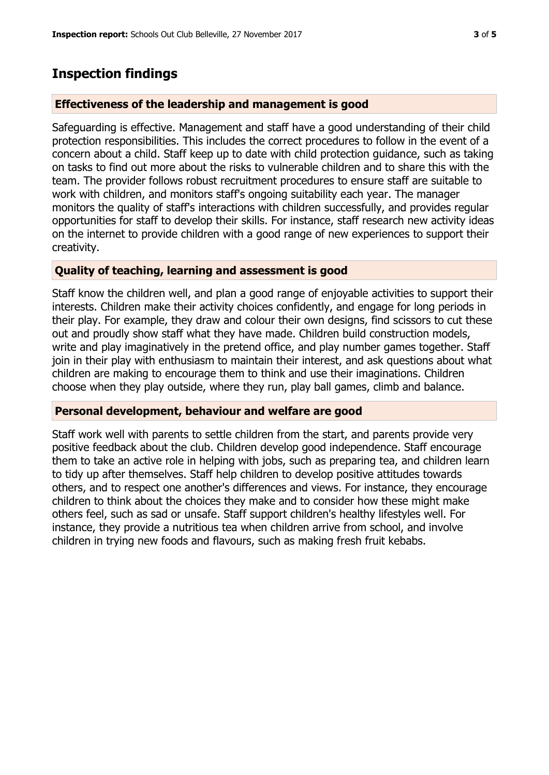## **Inspection findings**

#### **Effectiveness of the leadership and management is good**

Safeguarding is effective. Management and staff have a good understanding of their child protection responsibilities. This includes the correct procedures to follow in the event of a concern about a child. Staff keep up to date with child protection guidance, such as taking on tasks to find out more about the risks to vulnerable children and to share this with the team. The provider follows robust recruitment procedures to ensure staff are suitable to work with children, and monitors staff's ongoing suitability each year. The manager monitors the quality of staff's interactions with children successfully, and provides regular opportunities for staff to develop their skills. For instance, staff research new activity ideas on the internet to provide children with a good range of new experiences to support their creativity.

#### **Quality of teaching, learning and assessment is good**

Staff know the children well, and plan a good range of enjoyable activities to support their interests. Children make their activity choices confidently, and engage for long periods in their play. For example, they draw and colour their own designs, find scissors to cut these out and proudly show staff what they have made. Children build construction models, write and play imaginatively in the pretend office, and play number games together. Staff join in their play with enthusiasm to maintain their interest, and ask questions about what children are making to encourage them to think and use their imaginations. Children choose when they play outside, where they run, play ball games, climb and balance.

#### **Personal development, behaviour and welfare are good**

Staff work well with parents to settle children from the start, and parents provide very positive feedback about the club. Children develop good independence. Staff encourage them to take an active role in helping with jobs, such as preparing tea, and children learn to tidy up after themselves. Staff help children to develop positive attitudes towards others, and to respect one another's differences and views. For instance, they encourage children to think about the choices they make and to consider how these might make others feel, such as sad or unsafe. Staff support children's healthy lifestyles well. For instance, they provide a nutritious tea when children arrive from school, and involve children in trying new foods and flavours, such as making fresh fruit kebabs.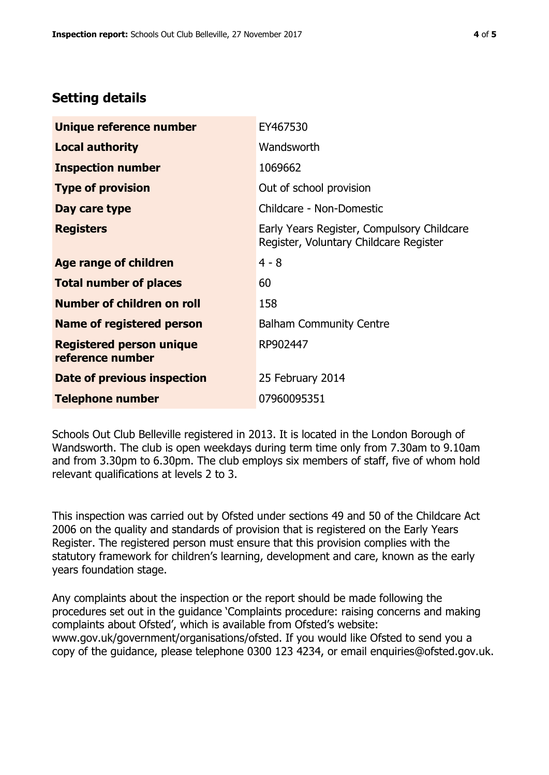## **Setting details**

| Unique reference number                             | EY467530                                                                             |  |
|-----------------------------------------------------|--------------------------------------------------------------------------------------|--|
| <b>Local authority</b>                              | Wandsworth                                                                           |  |
| <b>Inspection number</b>                            | 1069662                                                                              |  |
| <b>Type of provision</b>                            | Out of school provision                                                              |  |
| Day care type                                       | Childcare - Non-Domestic                                                             |  |
| <b>Registers</b>                                    | Early Years Register, Compulsory Childcare<br>Register, Voluntary Childcare Register |  |
| Age range of children                               | $4 - 8$                                                                              |  |
| <b>Total number of places</b>                       | 60                                                                                   |  |
| Number of children on roll                          | 158                                                                                  |  |
| Name of registered person                           | <b>Balham Community Centre</b>                                                       |  |
| <b>Registered person unique</b><br>reference number | RP902447                                                                             |  |
| Date of previous inspection                         | 25 February 2014                                                                     |  |
| <b>Telephone number</b>                             | 07960095351                                                                          |  |

Schools Out Club Belleville registered in 2013. It is located in the London Borough of Wandsworth. The club is open weekdays during term time only from 7.30am to 9.10am and from 3.30pm to 6.30pm. The club employs six members of staff, five of whom hold relevant qualifications at levels 2 to 3.

This inspection was carried out by Ofsted under sections 49 and 50 of the Childcare Act 2006 on the quality and standards of provision that is registered on the Early Years Register. The registered person must ensure that this provision complies with the statutory framework for children's learning, development and care, known as the early years foundation stage.

Any complaints about the inspection or the report should be made following the procedures set out in the guidance 'Complaints procedure: raising concerns and making complaints about Ofsted', which is available from Ofsted's website: www.gov.uk/government/organisations/ofsted. If you would like Ofsted to send you a copy of the guidance, please telephone 0300 123 4234, or email enquiries@ofsted.gov.uk.